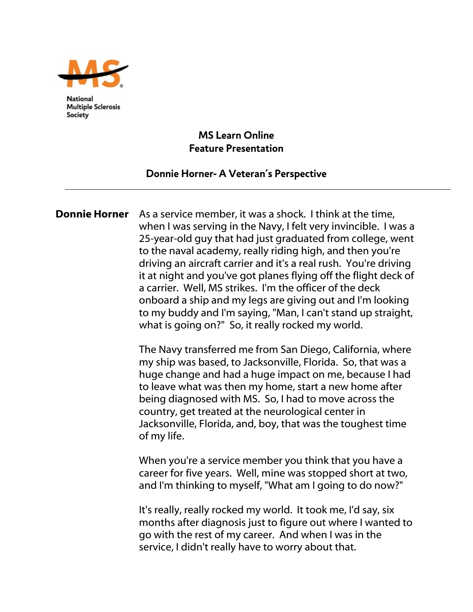

**National Multiple Sclerosis** Society

## **MS Learn Online Feature Presentation**

## **Donnie Horner- A Veteran's Perspective**

Donnie Horner As a service member, it was a shock. I think at the time, when I was serving in the Navy, I felt very invincible. I was a 25-year-old guy that had just graduated from college, went to the naval academy, really riding high, and then you're driving an aircraft carrier and it's a real rush. You're driving it at night and you've got planes flying off the flight deck of a carrier. Well, MS strikes. I'm the officer of the deck onboard a ship and my legs are giving out and I'm looking to my buddy and I'm saying, "Man, I can't stand up straight, what is going on?" So, it really rocked my world.

> The Navy transferred me from San Diego, California, where my ship was based, to Jacksonville, Florida. So, that was a huge change and had a huge impact on me, because I had to leave what was then my home, start a new home after being diagnosed with MS. So, I had to move across the country, get treated at the neurological center in Jacksonville, Florida, and, boy, that was the toughest time of my life.

 When you're a service member you think that you have a career for five years. Well, mine was stopped short at two, and I'm thinking to myself, "What am I going to do now?"

It's really, really rocked my world. It took me, I'd say, six months after diagnosis just to figure out where I wanted to go with the rest of my career. And when I was in the service, I didn't really have to worry about that.